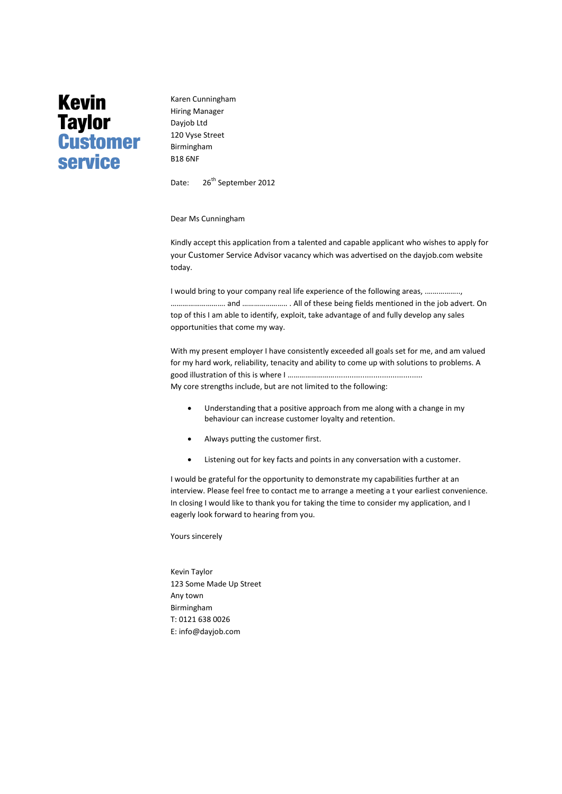## **Kevin Taylor Customer service**

Karen Cunningham Hiring Manager Dayjob Ltd 120 Vyse Street Birmingham B18 6NF

Date: 26<sup>th</sup> September 2012

Dear Ms Cunningham

Kindly accept this application from a talented and capable applicant who wishes to apply for your Customer Service Advisor vacancy which was advertised on the dayjob.com website today.

I would bring to your company real life experience of the following areas, .…………….., ………………………. and ………………….. . All of these being fields mentioned in the job advert. On top of this I am able to identify, exploit, take advantage of and fully develop any sales opportunities that come my way.

With my present employer I have consistently exceeded all goals set for me, and am valued for my hard work, reliability, tenacity and ability to come up with solutions to problems. A good illustration of this is where I ……………………......................................... My core strengths include, but are not limited to the following:

 Understanding that a positive approach from me along with a change in my behaviour can increase customer loyalty and retention.

- Always putting the customer first.
- Listening out for key facts and points in any conversation with a customer.

I would be grateful for the opportunity to demonstrate my capabilities further at an interview. Please feel free to contact me to arrange a meeting a t your earliest convenience. In closing I would like to thank you for taking the time to consider my application, and I eagerly look forward to hearing from you.

Yours sincerely

Kevin Taylor 123 Some Made Up Street Any town Birmingham T: 0121 638 0026 E[: info@dayjob.com](mailto:info@dayjob.com)